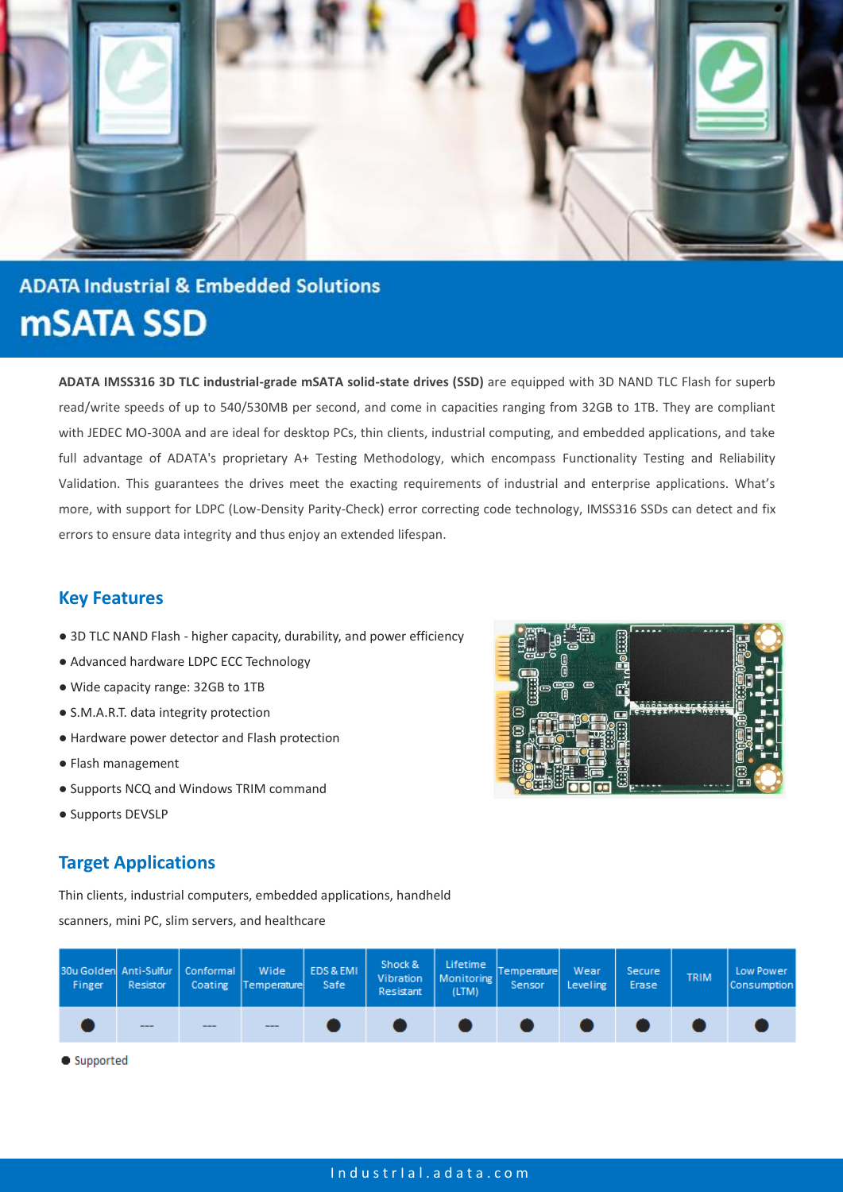

# **ADATA Industrial & Embedded Solutions mSATA SSD**

**ADATA IMSS316 3D TLC industrial-grade mSATA solid-state drives (SSD)** are equipped with 3D NAND TLC Flash for superb read/write speeds of up to 540/530MB per second, and come in capacities ranging from 32GB to 1TB. They are compliant with JEDEC MO-300A and are ideal for desktop PCs, thin clients, industrial computing, and embedded applications, and take full advantage of ADATA's proprietary A+ Testing Methodology, which encompass Functionality Testing and Reliability Validation. This guarantees the drives meet the exacting requirements of industrial and enterprise applications. What's more, with support for LDPC (Low-Density Parity-Check) error correcting code technology, IMSS316 SSDs can detect and fix errors to ensure data integrity and thus enjoy an extended lifespan.

## **Key Features**

- 3D TLC NAND Flash higher capacity, durability, and power efficiency
- Advanced hardware LDPC ECC Technology
- Wide capacity range: 32GB to 1TB
- S.M.A.R.T. data integrity protection
- Hardware power detector and Flash protection
- Flash management
- Supports NCQ and Windows TRIM command
- Supports DEVSLP

### **Target Applications**

Thin clients, industrial computers, embedded applications, handheld

scanners, mini PC, slim servers, and healthcare

| <b>Finger</b> | 30u Golden Anti-Sulfur   Conformal  <br>Resistor |      | Wide<br>Coating Temperature | EDS & EMI<br>Safe | Shock &<br>Resistant | Vibration   Monitoring  <br>(LTM) | Lifetime Temperature<br>Sensor | Wear<br>Leveling | Secure<br>Erase | <b>TRIM</b> | Low Power<br><b>Consumption</b> |
|---------------|--------------------------------------------------|------|-----------------------------|-------------------|----------------------|-----------------------------------|--------------------------------|------------------|-----------------|-------------|---------------------------------|
|               | $- - -$                                          | ---- | ----                        |                   |                      |                                   |                                |                  |                 |             |                                 |

Supported